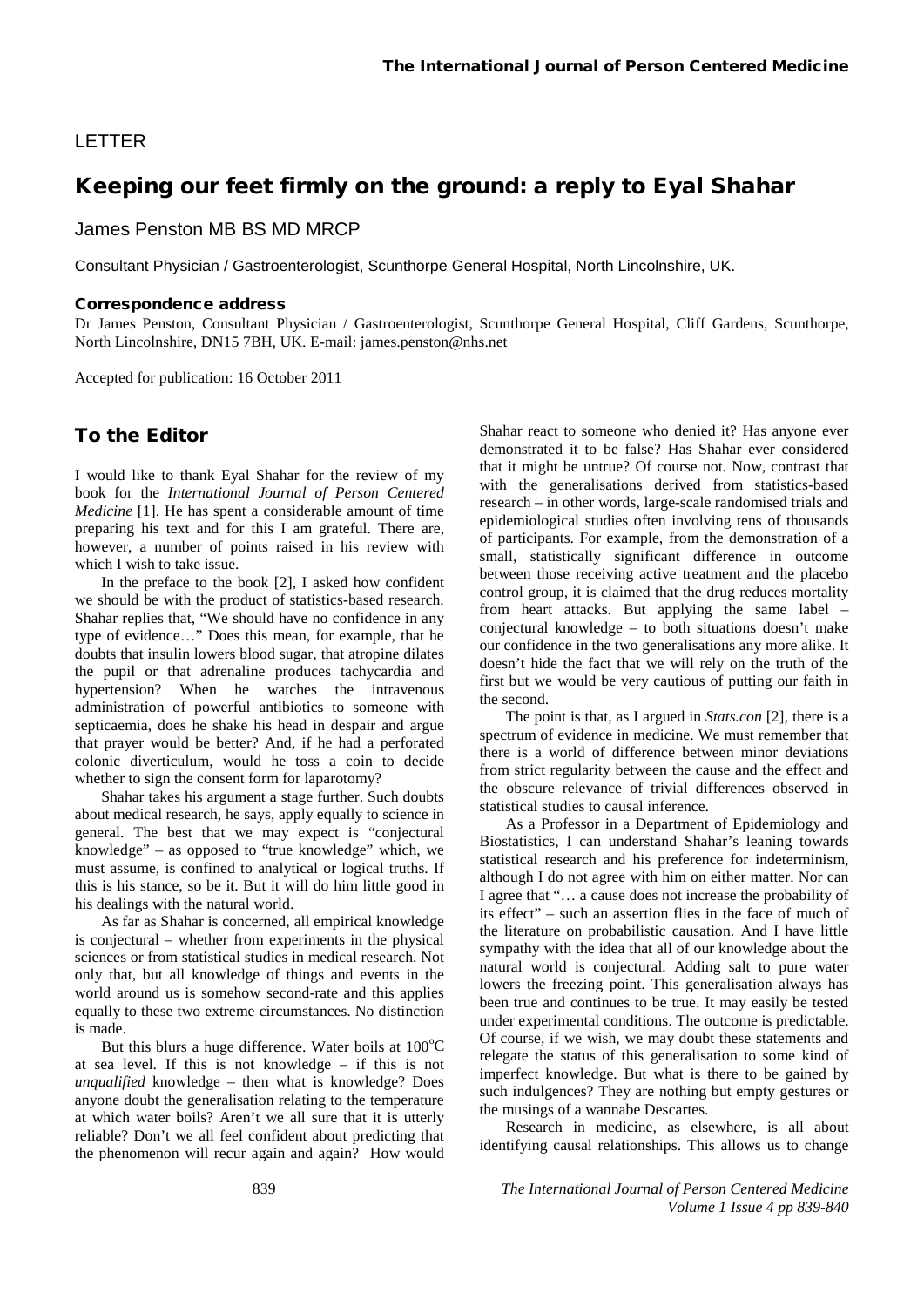### LETTER

# Keeping our feet firmly on the ground: a reply to Eyal Shahar

James Penston MB BS MD MRCP

Consultant Physician / Gastroenterologist, Scunthorpe General Hospital, North Lincolnshire, UK.

#### Correspondence address

Dr James Penston, Consultant Physician / Gastroenterologist, Scunthorpe General Hospital, Cliff Gardens, Scunthorpe, North Lincolnshire, DN15 7BH, UK. E-mail: james.penston@nhs.net

Accepted for publication: 16 October 2011

## To the Editor

I would like to thank Eyal Shahar for the review of my book for the *International Journal of Person Centered Medicine* [1]. He has spent a considerable amount of time preparing his text and for this I am grateful. There are, however, a number of points raised in his review with which I wish to take issue.

In the preface to the book [2], I asked how confident we should be with the product of statistics-based research. Shahar replies that, "We should have no confidence in any type of evidence…" Does this mean, for example, that he doubts that insulin lowers blood sugar, that atropine dilates the pupil or that adrenaline produces tachycardia and hypertension? When he watches the intravenous administration of powerful antibiotics to someone with septicaemia, does he shake his head in despair and argue that prayer would be better? And, if he had a perforated colonic diverticulum, would he toss a coin to decide whether to sign the consent form for laparotomy?

Shahar takes his argument a stage further. Such doubts about medical research, he says, apply equally to science in general. The best that we may expect is "conjectural knowledge" – as opposed to "true knowledge" which, we must assume, is confined to analytical or logical truths. If this is his stance, so be it. But it will do him little good in his dealings with the natural world.

As far as Shahar is concerned, all empirical knowledge is conjectural – whether from experiments in the physical sciences or from statistical studies in medical research. Not only that, but all knowledge of things and events in the world around us is somehow second-rate and this applies equally to these two extreme circumstances. No distinction is made.

But this blurs a huge difference. Water boils at  $100^{\circ}$ C at sea level. If this is not knowledge – if this is not *unqualified* knowledge – then what is knowledge? Does anyone doubt the generalisation relating to the temperature at which water boils? Aren't we all sure that it is utterly reliable? Don't we all feel confident about predicting that the phenomenon will recur again and again? How would

Shahar react to someone who denied it? Has anyone ever demonstrated it to be false? Has Shahar ever considered that it might be untrue? Of course not. Now, contrast that with the generalisations derived from statistics-based research – in other words, large-scale randomised trials and epidemiological studies often involving tens of thousands of participants. For example, from the demonstration of a small, statistically significant difference in outcome between those receiving active treatment and the placebo control group, it is claimed that the drug reduces mortality from heart attacks. But applying the same label – conjectural knowledge – to both situations doesn't make our confidence in the two generalisations any more alike. It doesn't hide the fact that we will rely on the truth of the first but we would be very cautious of putting our faith in the second.

The point is that, as I argued in *Stats.con* [2], there is a spectrum of evidence in medicine. We must remember that there is a world of difference between minor deviations from strict regularity between the cause and the effect and the obscure relevance of trivial differences observed in statistical studies to causal inference.

As a Professor in a Department of Epidemiology and Biostatistics, I can understand Shahar's leaning towards statistical research and his preference for indeterminism, although I do not agree with him on either matter. Nor can I agree that "… a cause does not increase the probability of its effect" – such an assertion flies in the face of much of the literature on probabilistic causation. And I have little sympathy with the idea that all of our knowledge about the natural world is conjectural. Adding salt to pure water lowers the freezing point. This generalisation always has been true and continues to be true. It may easily be tested under experimental conditions. The outcome is predictable. Of course, if we wish, we may doubt these statements and relegate the status of this generalisation to some kind of imperfect knowledge. But what is there to be gained by such indulgences? They are nothing but empty gestures or the musings of a wannabe Descartes.

Research in medicine, as elsewhere, is all about identifying causal relationships. This allows us to change